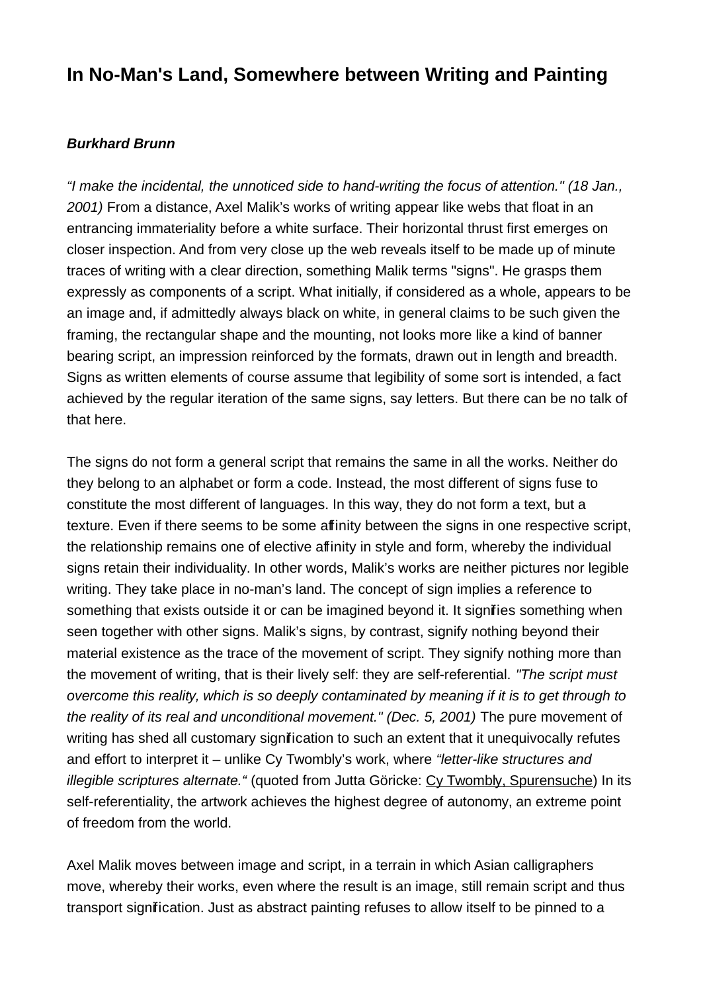## **In No-Man's Land, Somewhere between Writing and Painting**

## **Burkhard Brunn**

"I make the incidental, the unnoticed side to hand-writing the focus of attention." (18 Jan., 2001) From a distance, Axel Malik's works of writing appear like webs that float in an entrancing immateriality before a white surface. Their horizontal thrust first emerges on closer inspection. And from very close up the web reveals itself to be made up of minute traces of writing with a clear direction, something Malik terms "signs". He grasps them expressly as components of a script. What initially, if considered as a whole, appears to be an image and, if admittedly always black on white, in general claims to be such given the framing, the rectangular shape and the mounting, not looks more like a kind of banner bearing script, an impression reinforced by the formats, drawn out in length and breadth. Signs as written elements of course assume that legibility of some sort is intended, a fact achieved by the regular iteration of the same signs, say letters. But there can be no talk of that here.

The signs do not form a general script that remains the same in all the works. Neither do they belong to an alphabet or form a code. Instead, the most different of signs fuse to constitute the most different of languages. In this way, they do not form a text, but a texture. Even if there seems to be some affinity between the signs in one respective script, the relationship remains one of elective affinity in style and form, whereby the individual signs retain their individuality. In other words, Malik's works are neither pictures nor legible writing. They take place in no-man's land. The concept of sign implies a reference to something that exists outside it or can be imagined beyond it. It signifies something when seen together with other signs. Malik's signs, by contrast, signify nothing beyond their material existence as the trace of the movement of script. They signify nothing more than the movement of writing, that is their lively self: they are self-referential. "The script must overcome this reality, which is so deeply contaminated by meaning if it is to get through to the reality of its real and unconditional movement." (Dec. 5, 2001) The pure movement of writing has shed all customary signification to such an extent that it unequivocally refutes and effort to interpret it – unlike Cy Twombly's work, where "letter-like structures and illegible scriptures alternate. " (quoted from Jutta Göricke: Cy Twombly, Spurensuche) In its self-referentiality, the artwork achieves the highest degree of autonomy, an extreme point of freedom from the world.

Axel Malik moves between image and script, in a terrain in which Asian calligraphers move, whereby their works, even where the result is an image, still remain script and thus transport signification. Just as abstract painting refuses to allow itself to be pinned to a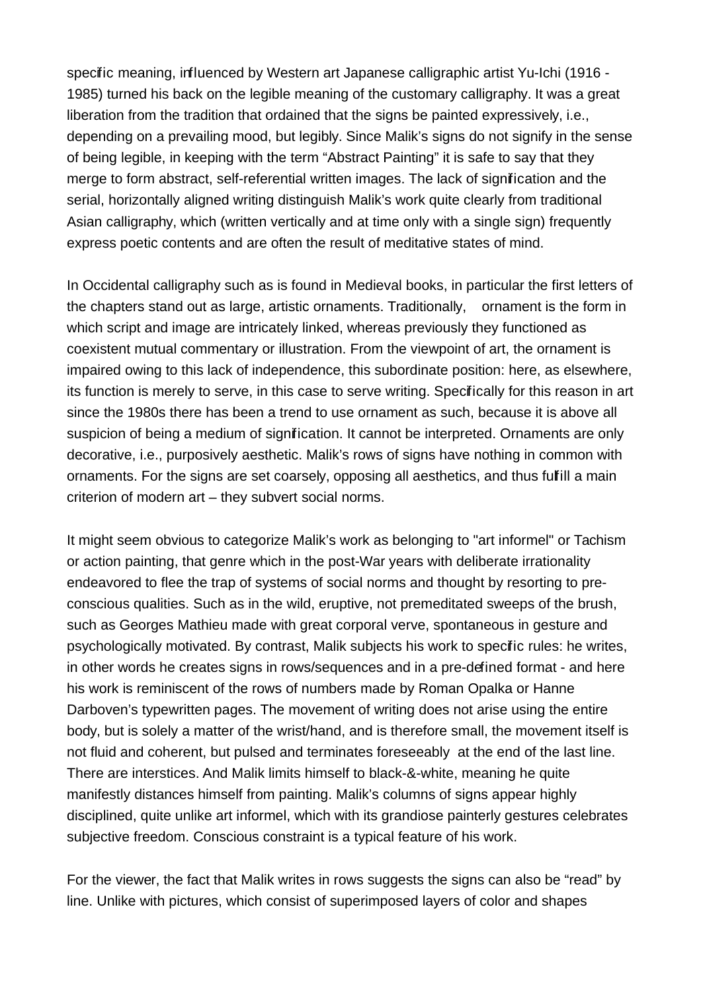specific meaning, influenced by Western art Japanese calligraphic artist Yu-Ichi (1916 - 1985) turned his back on the legible meaning of the customary calligraphy. It was a great liberation from the tradition that ordained that the signs be painted expressively, i.e., depending on a prevailing mood, but legibly. Since Malik's signs do not signify in the sense of being legible, in keeping with the term "Abstract Painting" it is safe to say that they merge to form abstract, self-referential written images. The lack of signification and the serial, horizontally aligned writing distinguish Malik's work quite clearly from traditional Asian calligraphy, which (written vertically and at time only with a single sign) frequently express poetic contents and are often the result of meditative states of mind.

In Occidental calligraphy such as is found in Medieval books, in particular the first letters of the chapters stand out as large, artistic ornaments. Traditionally, ornament is the form in which script and image are intricately linked, whereas previously they functioned as coexistent mutual commentary or illustration. From the viewpoint of art, the ornament is impaired owing to this lack of independence, this subordinate position: here, as elsewhere, its function is merely to serve, in this case to serve writing. Specifically for this reason in art since the 1980s there has been a trend to use ornament as such, because it is above all suspicion of being a medium of signification. It cannot be interpreted. Ornaments are only decorative, i.e., purposively aesthetic. Malik's rows of signs have nothing in common with ornaments. For the signs are set coarsely, opposing all aesthetics, and thus fulfill a main criterion of modern art – they subvert social norms.

It might seem obvious to categorize Malik's work as belonging to "art informel" or Tachism or action painting, that genre which in the post-War years with deliberate irrationality endeavored to flee the trap of systems of social norms and thought by resorting to preconscious qualities. Such as in the wild, eruptive, not premeditated sweeps of the brush, such as Georges Mathieu made with great corporal verve, spontaneous in gesture and psychologically motivated. By contrast, Malik subjects his work to specific rules: he writes, in other words he creates signs in rows/sequences and in a pre-defined format - and here his work is reminiscent of the rows of numbers made by Roman Opalka or Hanne Darboven's typewritten pages. The movement of writing does not arise using the entire body, but is solely a matter of the wrist/hand, and is therefore small, the movement itself is not fluid and coherent, but pulsed and terminates foreseeably at the end of the last line. There are interstices. And Malik limits himself to black-&-white, meaning he quite manifestly distances himself from painting. Malik's columns of signs appear highly disciplined, quite unlike art informel, which with its grandiose painterly gestures celebrates subjective freedom. Conscious constraint is a typical feature of his work.

For the viewer, the fact that Malik writes in rows suggests the signs can also be "read" by line. Unlike with pictures, which consist of superimposed layers of color and shapes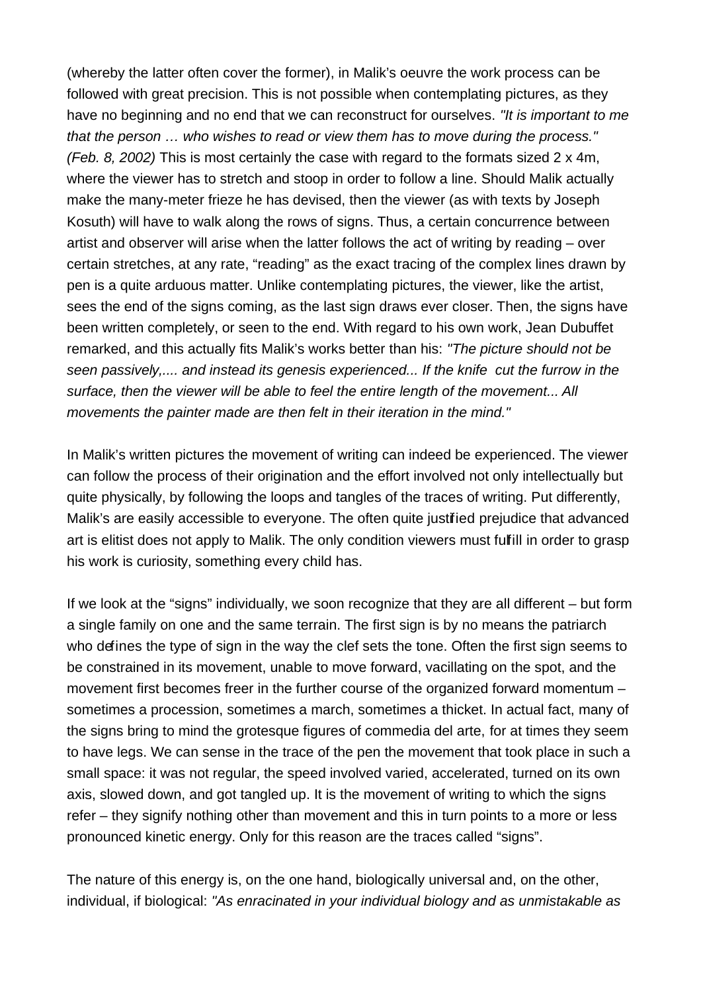(whereby the latter often cover the former), in Malik's oeuvre the work process can be followed with great precision. This is not possible when contemplating pictures, as they have no beginning and no end that we can reconstruct for ourselves. "It is important to me that the person … who wishes to read or view them has to move during the process." (Feb. 8, 2002) This is most certainly the case with regard to the formats sized 2 x 4m, where the viewer has to stretch and stoop in order to follow a line. Should Malik actually make the many-meter frieze he has devised, then the viewer (as with texts by Joseph Kosuth) will have to walk along the rows of signs. Thus, a certain concurrence between artist and observer will arise when the latter follows the act of writing by reading – over certain stretches, at any rate, "reading" as the exact tracing of the complex lines drawn by pen is a quite arduous matter. Unlike contemplating pictures, the viewer, like the artist, sees the end of the signs coming, as the last sign draws ever closer. Then, the signs have been written completely, or seen to the end. With regard to his own work, Jean Dubuffet remarked, and this actually fits Malik's works better than his: "The picture should not be seen passively,.... and instead its genesis experienced... If the knife cut the furrow in the surface, then the viewer will be able to feel the entire length of the movement... All movements the painter made are then felt in their iteration in the mind."

In Malik's written pictures the movement of writing can indeed be experienced. The viewer can follow the process of their origination and the effort involved not only intellectually but quite physically, by following the loops and tangles of the traces of writing. Put differently, Malik's are easily accessible to everyone. The often quite justified prejudice that advanced art is elitist does not apply to Malik. The only condition viewers must fulfill in order to grasp his work is curiosity, something every child has.

If we look at the "signs" individually, we soon recognize that they are all different – but form a single family on one and the same terrain. The first sign is by no means the patriarch who defines the type of sign in the way the clef sets the tone. Often the first sign seems to be constrained in its movement, unable to move forward, vacillating on the spot, and the movement first becomes freer in the further course of the organized forward momentum – sometimes a procession, sometimes a march, sometimes a thicket. In actual fact, many of the signs bring to mind the grotesque figures of commedia del arte, for at times they seem to have legs. We can sense in the trace of the pen the movement that took place in such a small space: it was not regular, the speed involved varied, accelerated, turned on its own axis, slowed down, and got tangled up. It is the movement of writing to which the signs refer – they signify nothing other than movement and this in turn points to a more or less pronounced kinetic energy. Only for this reason are the traces called "signs".

The nature of this energy is, on the one hand, biologically universal and, on the other, individual, if biological: "As enracinated in your individual biology and as unmistakable as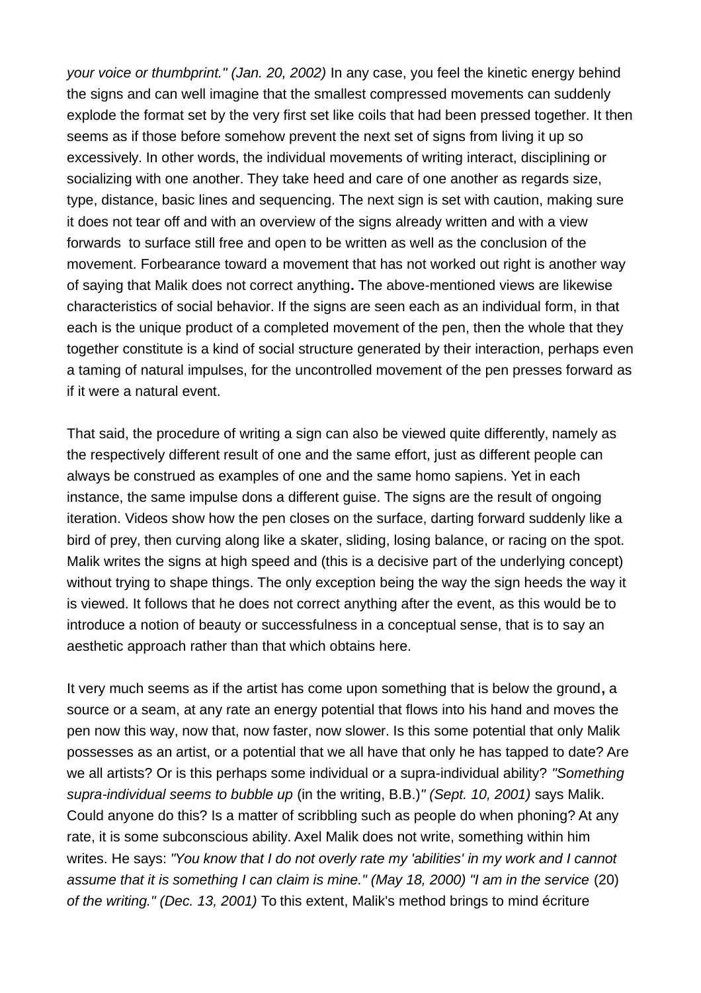your voice or thumbprint." (Jan. 20, 2002) In any case, you feel the kinetic energy behind the signs and can well imagine that the smallest compressed movements can suddenly explode the format set by the very first set like coils that had been pressed together. It then seems as if those before somehow prevent the next set of signs from living it up so excessively. In other words, the individual movements of writing interact, disciplining or socializing with one another. They take heed and care of one another as regards size, type, distance, basic lines and sequencing. The next sign is set with caution, making sure it does not tear off and with an overview of the signs already written and with a view forwards to surface still free and open to be written as well as the conclusion of the movement. Forbearance toward a movement that has not worked out right is another way of saying that Malik does not correct anything**.** The above-mentioned views are likewise characteristics of social behavior. If the signs are seen each as an individual form, in that each is the unique product of a completed movement of the pen, then the whole that they together constitute is a kind of social structure generated by their interaction, perhaps even a taming of natural impulses, for the uncontrolled movement of the pen presses forward as if it were a natural event.

That said, the procedure of writing a sign can also be viewed quite differently, namely as the respectively different result of one and the same effort, just as different people can always be construed as examples of one and the same homo sapiens. Yet in each instance, the same impulse dons a different guise. The signs are the result of ongoing iteration. Videos show how the pen closes on the surface, darting forward suddenly like a bird of prey, then curving along like a skater, sliding, losing balance, or racing on the spot. Malik writes the signs at high speed and (this is a decisive part of the underlying concept) without trying to shape things. The only exception being the way the sign heeds the way it is viewed. It follows that he does not correct anything after the event, as this would be to introduce a notion of beauty or successfulness in a conceptual sense, that is to say an aesthetic approach rather than that which obtains here.

It very much seems as if the artist has come upon something that is below the ground**,** a source or a seam, at any rate an energy potential that flows into his hand and moves the pen now this way, now that, now faster, now slower. Is this some potential that only Malik possesses as an artist, or a potential that we all have that only he has tapped to date? Are we all artists? Or is this perhaps some individual or a supra-individual ability? "Something supra-individual seems to bubble up (in the writing, B.B.)" (Sept. 10, 2001) says Malik. Could anyone do this? Is a matter of scribbling such as people do when phoning? At any rate, it is some subconscious ability. Axel Malik does not write, something within him writes. He says: "You know that I do not overly rate my 'abilities' in my work and I cannot assume that it is something I can claim is mine." (May 18, 2000) "I am in the service (20) of the writing." (Dec. 13, 2001) To this extent, Malik's method brings to mind écriture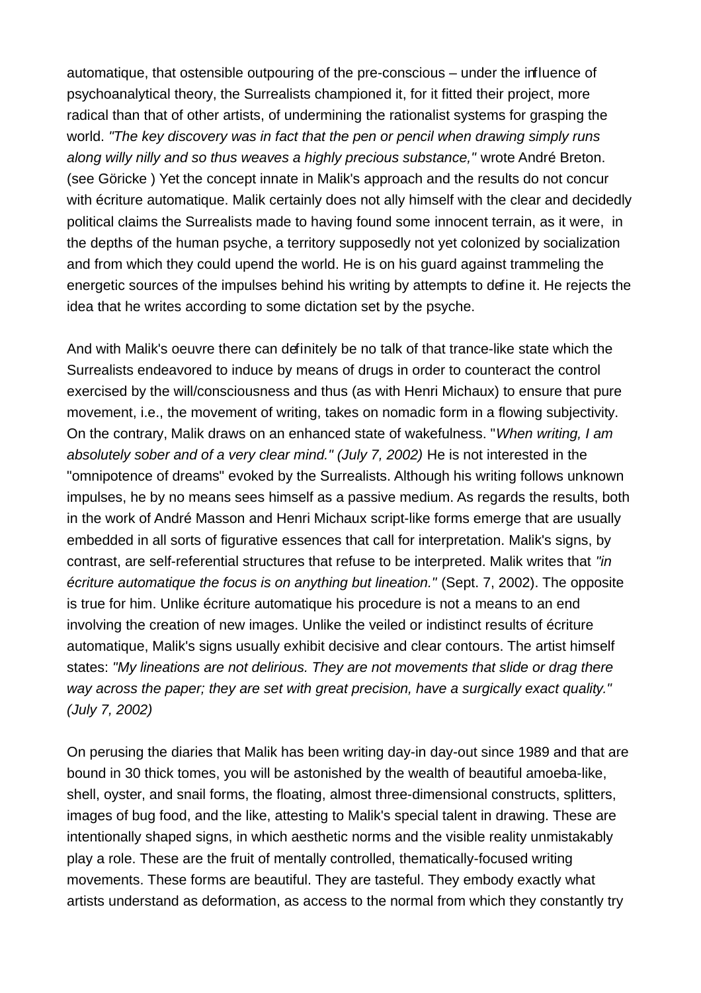automatique, that ostensible outpouring of the pre-conscious – under the influence of psychoanalytical theory, the Surrealists championed it, for it fitted their project, more radical than that of other artists, of undermining the rationalist systems for grasping the world. "The key discovery was in fact that the pen or pencil when drawing simply runs along willy nilly and so thus weaves a highly precious substance," wrote André Breton. (see Göricke ) Yet the concept innate in Malik's approach and the results do not concur with écriture automatique. Malik certainly does not ally himself with the clear and decidedly political claims the Surrealists made to having found some innocent terrain, as it were, in the depths of the human psyche, a territory supposedly not yet colonized by socialization and from which they could upend the world. He is on his guard against trammeling the energetic sources of the impulses behind his writing by attempts to define it. He rejects the idea that he writes according to some dictation set by the psyche.

And with Malik's oeuvre there can definitely be no talk of that trance-like state which the Surrealists endeavored to induce by means of drugs in order to counteract the control exercised by the will/consciousness and thus (as with Henri Michaux) to ensure that pure movement, i.e., the movement of writing, takes on nomadic form in a flowing subjectivity. On the contrary, Malik draws on an enhanced state of wakefulness. "When writing, I am absolutely sober and of a very clear mind." (July 7, 2002) He is not interested in the "omnipotence of dreams" evoked by the Surrealists. Although his writing follows unknown impulses, he by no means sees himself as a passive medium. As regards the results, both in the work of André Masson and Henri Michaux script-like forms emerge that are usually embedded in all sorts of figurative essences that call for interpretation. Malik's signs, by contrast, are self-referential structures that refuse to be interpreted. Malik writes that "in écriture automatique the focus is on anything but lineation." (Sept. 7, 2002). The opposite is true for him. Unlike écriture automatique his procedure is not a means to an end involving the creation of new images. Unlike the veiled or indistinct results of écriture automatique, Malik's signs usually exhibit decisive and clear contours. The artist himself states: "My lineations are not delirious. They are not movements that slide or drag there way across the paper; they are set with great precision, have a surgically exact quality." (July 7, 2002)

On perusing the diaries that Malik has been writing day-in day-out since 1989 and that are bound in 30 thick tomes, you will be astonished by the wealth of beautiful amoeba-like, shell, oyster, and snail forms, the floating, almost three-dimensional constructs, splitters, images of bug food, and the like, attesting to Malik's special talent in drawing. These are intentionally shaped signs, in which aesthetic norms and the visible reality unmistakably play a role. These are the fruit of mentally controlled, thematically-focused writing movements. These forms are beautiful. They are tasteful. They embody exactly what artists understand as deformation, as access to the normal from which they constantly try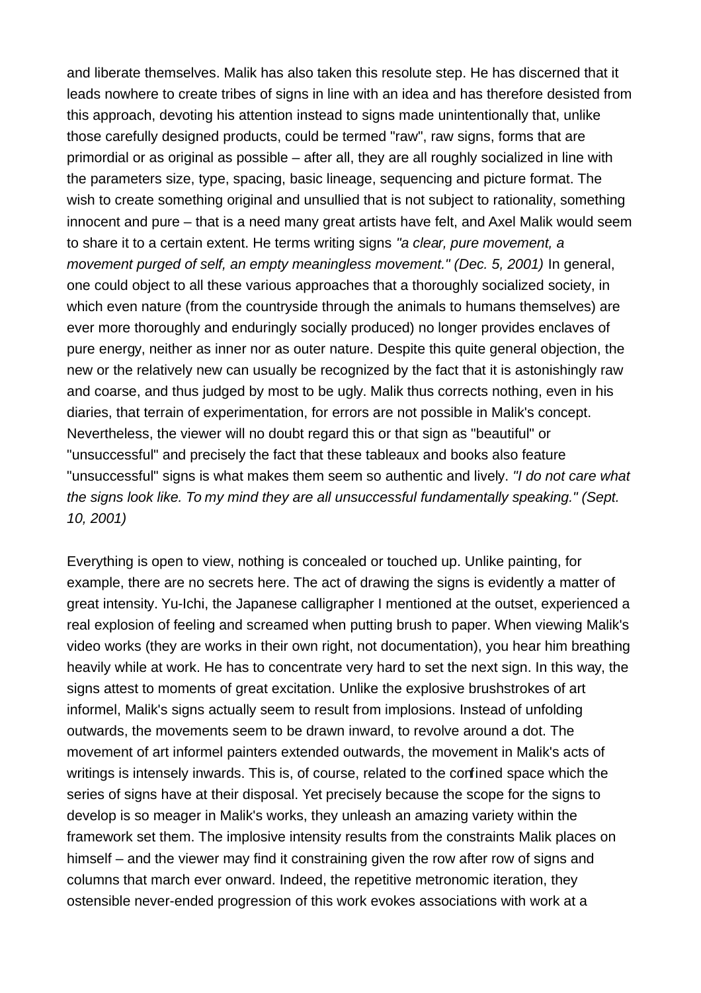and liberate themselves. Malik has also taken this resolute step. He has discerned that it leads nowhere to create tribes of signs in line with an idea and has therefore desisted from this approach, devoting his attention instead to signs made unintentionally that, unlike those carefully designed products, could be termed "raw", raw signs, forms that are primordial or as original as possible – after all, they are all roughly socialized in line with the parameters size, type, spacing, basic lineage, sequencing and picture format. The wish to create something original and unsullied that is not subject to rationality, something innocent and pure – that is a need many great artists have felt, and Axel Malik would seem to share it to a certain extent. He terms writing signs "a clear, pure movement, a movement purged of self, an empty meaningless movement." (Dec. 5, 2001) In general, one could object to all these various approaches that a thoroughly socialized society, in which even nature (from the countryside through the animals to humans themselves) are ever more thoroughly and enduringly socially produced) no longer provides enclaves of pure energy, neither as inner nor as outer nature. Despite this quite general objection, the new or the relatively new can usually be recognized by the fact that it is astonishingly raw and coarse, and thus judged by most to be ugly. Malik thus corrects nothing, even in his diaries, that terrain of experimentation, for errors are not possible in Malik's concept. Nevertheless, the viewer will no doubt regard this or that sign as "beautiful" or "unsuccessful" and precisely the fact that these tableaux and books also feature "unsuccessful" signs is what makes them seem so authentic and lively. "I do not care what the signs look like. To my mind they are all unsuccessful fundamentally speaking." (Sept. 10, 2001)

Everything is open to view, nothing is concealed or touched up. Unlike painting, for example, there are no secrets here. The act of drawing the signs is evidently a matter of great intensity. Yu-Ichi, the Japanese calligrapher I mentioned at the outset, experienced a real explosion of feeling and screamed when putting brush to paper. When viewing Malik's video works (they are works in their own right, not documentation), you hear him breathing heavily while at work. He has to concentrate very hard to set the next sign. In this way, the signs attest to moments of great excitation. Unlike the explosive brushstrokes of art informel, Malik's signs actually seem to result from implosions. Instead of unfolding outwards, the movements seem to be drawn inward, to revolve around a dot. The movement of art informel painters extended outwards, the movement in Malik's acts of writings is intensely inwards. This is, of course, related to the confined space which the series of signs have at their disposal. Yet precisely because the scope for the signs to develop is so meager in Malik's works, they unleash an amazing variety within the framework set them. The implosive intensity results from the constraints Malik places on himself – and the viewer may find it constraining given the row after row of signs and columns that march ever onward. Indeed, the repetitive metronomic iteration, they ostensible never-ended progression of this work evokes associations with work at a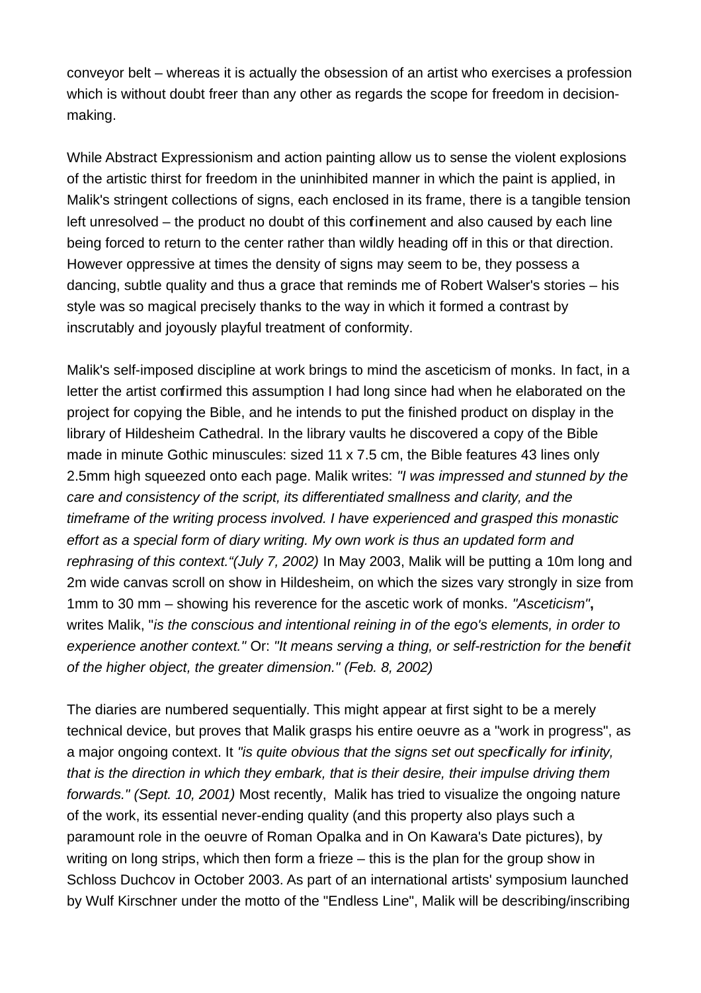conveyor belt – whereas it is actually the obsession of an artist who exercises a profession which is without doubt freer than any other as regards the scope for freedom in decisionmaking.

While Abstract Expressionism and action painting allow us to sense the violent explosions of the artistic thirst for freedom in the uninhibited manner in which the paint is applied, in Malik's stringent collections of signs, each enclosed in its frame, there is a tangible tension left unresolved – the product no doubt of this confinement and also caused by each line being forced to return to the center rather than wildly heading off in this or that direction. However oppressive at times the density of signs may seem to be, they possess a dancing, subtle quality and thus a grace that reminds me of Robert Walser's stories – his style was so magical precisely thanks to the way in which it formed a contrast by inscrutably and joyously playful treatment of conformity.

Malik's self-imposed discipline at work brings to mind the asceticism of monks. In fact, in a letter the artist confirmed this assumption I had long since had when he elaborated on the project for copying the Bible, and he intends to put the finished product on display in the library of Hildesheim Cathedral. In the library vaults he discovered a copy of the Bible made in minute Gothic minuscules: sized 11 x 7.5 cm, the Bible features 43 lines only 2.5mm high squeezed onto each page. Malik writes: "I was impressed and stunned by the care and consistency of the script, its differentiated smallness and clarity, and the timeframe of the writing process involved. I have experienced and grasped this monastic effort as a special form of diary writing. My own work is thus an updated form and rephrasing of this context."(July 7, 2002) In May 2003, Malik will be putting a 10m long and 2m wide canvas scroll on show in Hildesheim, on which the sizes vary strongly in size from 1mm to 30 mm – showing his reverence for the ascetic work of monks. "Asceticism"**,** writes Malik, "is the conscious and intentional reining in of the ego's elements, in order to experience another context." Or: "It means serving a thing, or self-restriction for the benefit of the higher object, the greater dimension." (Feb. 8, 2002)

The diaries are numbered sequentially. This might appear at first sight to be a merely technical device, but proves that Malik grasps his entire oeuvre as a "work in progress", as a major ongoing context. It "is quite obvious that the signs set out specifically for infinity, that is the direction in which they embark, that is their desire, their impulse driving them forwards." (Sept. 10, 2001) Most recently, Malik has tried to visualize the ongoing nature of the work, its essential never-ending quality (and this property also plays such a paramount role in the oeuvre of Roman Opalka and in On Kawara's Date pictures), by writing on long strips, which then form a frieze – this is the plan for the group show in Schloss Duchcov in October 2003. As part of an international artists' symposium launched by Wulf Kirschner under the motto of the "Endless Line", Malik will be describing/inscribing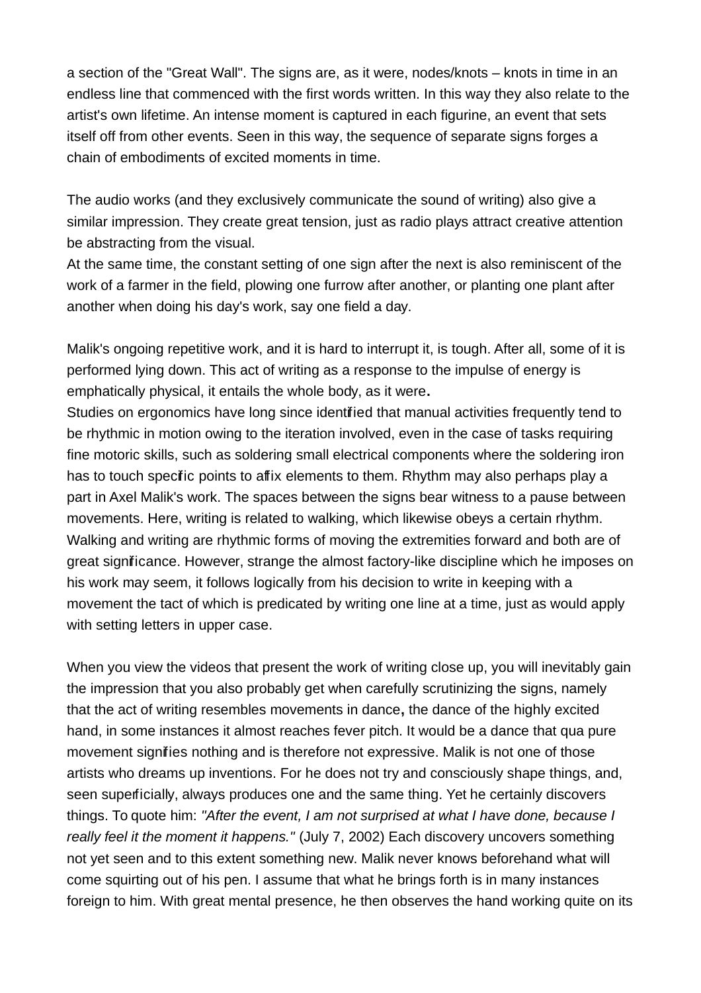a section of the "Great Wall". The signs are, as it were, nodes/knots – knots in time in an endless line that commenced with the first words written. In this way they also relate to the artist's own lifetime. An intense moment is captured in each figurine, an event that sets itself off from other events. Seen in this way, the sequence of separate signs forges a chain of embodiments of excited moments in time.

The audio works (and they exclusively communicate the sound of writing) also give a similar impression. They create great tension, just as radio plays attract creative attention be abstracting from the visual.

At the same time, the constant setting of one sign after the next is also reminiscent of the work of a farmer in the field, plowing one furrow after another, or planting one plant after another when doing his day's work, say one field a day.

Malik's ongoing repetitive work, and it is hard to interrupt it, is tough. After all, some of it is performed lying down. This act of writing as a response to the impulse of energy is emphatically physical, it entails the whole body, as it were**.**

Studies on ergonomics have long since identified that manual activities frequently tend to be rhythmic in motion owing to the iteration involved, even in the case of tasks requiring fine motoric skills, such as soldering small electrical components where the soldering iron has to touch specific points to affix elements to them. Rhythm may also perhaps play a part in Axel Malik's work. The spaces between the signs bear witness to a pause between movements. Here, writing is related to walking, which likewise obeys a certain rhythm. Walking and writing are rhythmic forms of moving the extremities forward and both are of great significance. However, strange the almost factory-like discipline which he imposes on his work may seem, it follows logically from his decision to write in keeping with a movement the tact of which is predicated by writing one line at a time, just as would apply with setting letters in upper case.

When you view the videos that present the work of writing close up, you will inevitably gain the impression that you also probably get when carefully scrutinizing the signs, namely that the act of writing resembles movements in dance**,** the dance of the highly excited hand, in some instances it almost reaches fever pitch. It would be a dance that qua pure movement signifies nothing and is therefore not expressive. Malik is not one of those artists who dreams up inventions. For he does not try and consciously shape things, and, seen superficially, always produces one and the same thing. Yet he certainly discovers things. To quote him: "After the event, I am not surprised at what I have done, because I really feel it the moment it happens." (July 7, 2002) Each discovery uncovers something not yet seen and to this extent something new. Malik never knows beforehand what will come squirting out of his pen. I assume that what he brings forth is in many instances foreign to him. With great mental presence, he then observes the hand working quite on its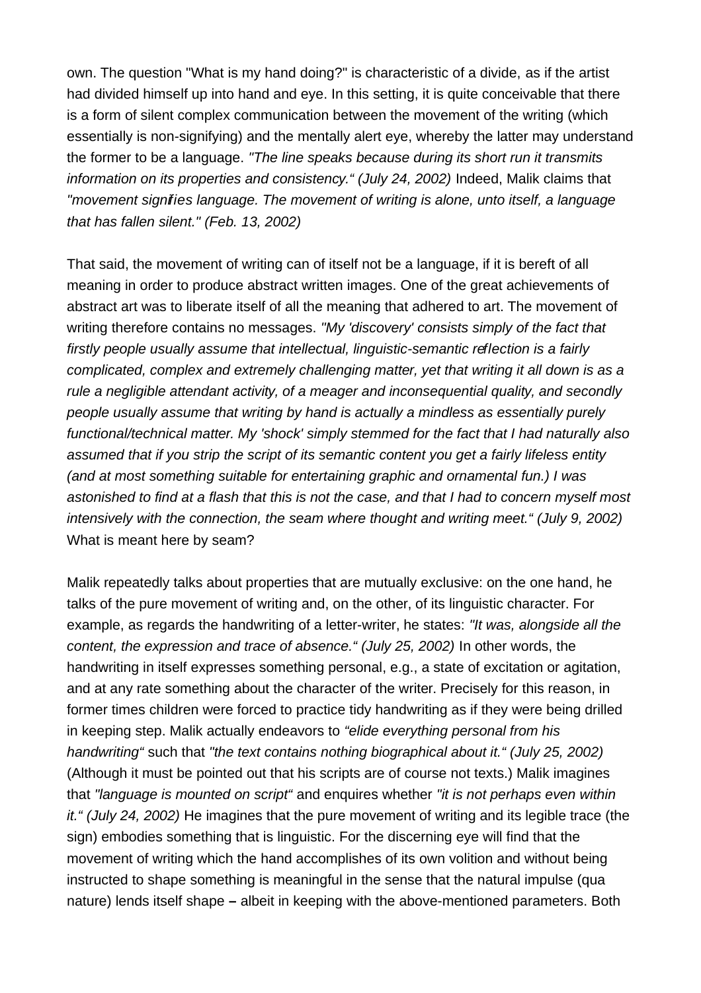own. The question "What is my hand doing?" is characteristic of a divide, as if the artist had divided himself up into hand and eye. In this setting, it is quite conceivable that there is a form of silent complex communication between the movement of the writing (which essentially is non-signifying) and the mentally alert eye, whereby the latter may understand the former to be a language. "The line speaks because during its short run it transmits information on its properties and consistency." (July 24, 2002) Indeed, Malik claims that "movement signifies language. The movement of writing is alone, unto itself, a language that has fallen silent." (Feb. 13, 2002)

That said, the movement of writing can of itself not be a language, if it is bereft of all meaning in order to produce abstract written images. One of the great achievements of abstract art was to liberate itself of all the meaning that adhered to art. The movement of writing therefore contains no messages. "My 'discovery' consists simply of the fact that firstly people usually assume that intellectual, linguistic-semantic reflection is a fairly complicated, complex and extremely challenging matter, yet that writing it all down is as a rule a negligible attendant activity, of a meager and inconsequential quality, and secondly people usually assume that writing by hand is actually a mindless as essentially purely functional/technical matter. My 'shock' simply stemmed for the fact that I had naturally also assumed that if you strip the script of its semantic content you get a fairly lifeless entity (and at most something suitable for entertaining graphic and ornamental fun.) I was astonished to find at a flash that this is not the case, and that I had to concern myself most intensively with the connection, the seam where thought and writing meet." (July 9, 2002) What is meant here by seam?

Malik repeatedly talks about properties that are mutually exclusive: on the one hand, he talks of the pure movement of writing and, on the other, of its linguistic character. For example, as regards the handwriting of a letter-writer, he states: "It was, alongside all the content, the expression and trace of absence." (July 25, 2002) In other words, the handwriting in itself expresses something personal, e.g., a state of excitation or agitation, and at any rate something about the character of the writer. Precisely for this reason, in former times children were forced to practice tidy handwriting as if they were being drilled in keeping step. Malik actually endeavors to "elide everything personal from his handwriting" such that "the text contains nothing biographical about it." (July 25, 2002) (Although it must be pointed out that his scripts are of course not texts.) Malik imagines that "language is mounted on script" and enguires whether "it is not perhaps even within it." (July 24, 2002) He imagines that the pure movement of writing and its legible trace (the sign) embodies something that is linguistic. For the discerning eye will find that the movement of writing which the hand accomplishes of its own volition and without being instructed to shape something is meaningful in the sense that the natural impulse (qua nature) lends itself shape **–** albeit in keeping with the above-mentioned parameters. Both